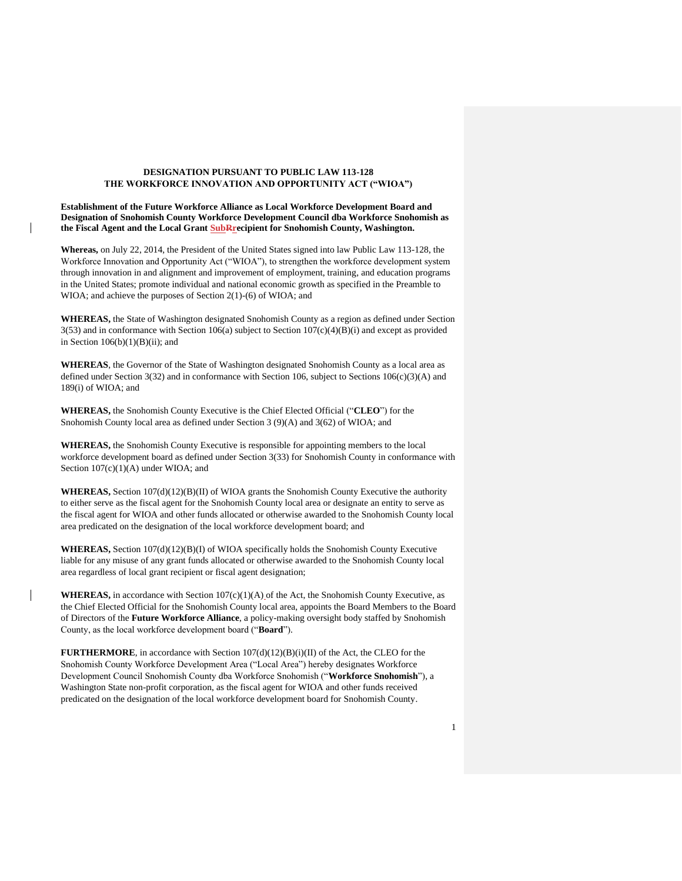## **DESIGNATION PURSUANT TO PUBLIC LAW 113-128 THE WORKFORCE INNOVATION AND OPPORTUNITY ACT ("WIOA")**

**Establishment of the Future Workforce Alliance as Local Workforce Development Board and Designation of Snohomish County Workforce Development Council dba Workforce Snohomish as the Fiscal Agent and the Local Grant SubRrecipient for Snohomish County, Washington.** 

**Whereas,** on July 22, 2014, the President of the United States signed into law Public Law 113-128, the Workforce Innovation and Opportunity Act ("WIOA"), to strengthen the workforce development system through innovation in and alignment and improvement of employment, training, and education programs in the United States; promote individual and national economic growth as specified in the Preamble to WIOA; and achieve the purposes of Section 2(1)-(6) of WIOA; and

**WHEREAS,** the State of Washington designated Snohomish County as a region as defined under Section 3(53) and in conformance with Section 106(a) subject to Section 107(c)(4)(B)(i) and except as provided in Section  $106(b)(1)(B)(ii)$ ; and

**WHEREAS**, the Governor of the State of Washington designated Snohomish County as a local area as defined under Section 3(32) and in conformance with Section 106, subject to Sections  $106(c)(3)(A)$  and 189(i) of WIOA; and

**WHEREAS,** the Snohomish County Executive is the Chief Elected Official ("**CLEO**") for the Snohomish County local area as defined under Section 3 (9)(A) and 3(62) of WIOA; and

**WHEREAS,** the Snohomish County Executive is responsible for appointing members to the local workforce development board as defined under Section 3(33) for Snohomish County in conformance with Section  $107(c)(1)(A)$  under WIOA; and

**WHEREAS,** Section 107(d)(12)(B)(II) of WIOA grants the Snohomish County Executive the authority to either serve as the fiscal agent for the Snohomish County local area or designate an entity to serve as the fiscal agent for WIOA and other funds allocated or otherwise awarded to the Snohomish County local area predicated on the designation of the local workforce development board; and

**WHEREAS,** Section 107(d)(12)(B)(I) of WIOA specifically holds the Snohomish County Executive liable for any misuse of any grant funds allocated or otherwise awarded to the Snohomish County local area regardless of local grant recipient or fiscal agent designation;

**WHEREAS,** in accordance with Section  $107(c)(1)(A)$  of the Act, the Snohomish County Executive, as the Chief Elected Official for the Snohomish County local area, appoints the Board Members to the Board of Directors of the **Future Workforce Alliance**, a policy-making oversight body staffed by Snohomish County, as the local workforce development board ("**Board**").

**FURTHERMORE**, in accordance with Section 107(d)(12)(B)(i)(II) of the Act, the CLEO for the Snohomish County Workforce Development Area ("Local Area") hereby designates Workforce Development Council Snohomish County dba Workforce Snohomish ("**Workforce Snohomish**"), a Washington State non-profit corporation, as the fiscal agent for WIOA and other funds received predicated on the designation of the local workforce development board for Snohomish County.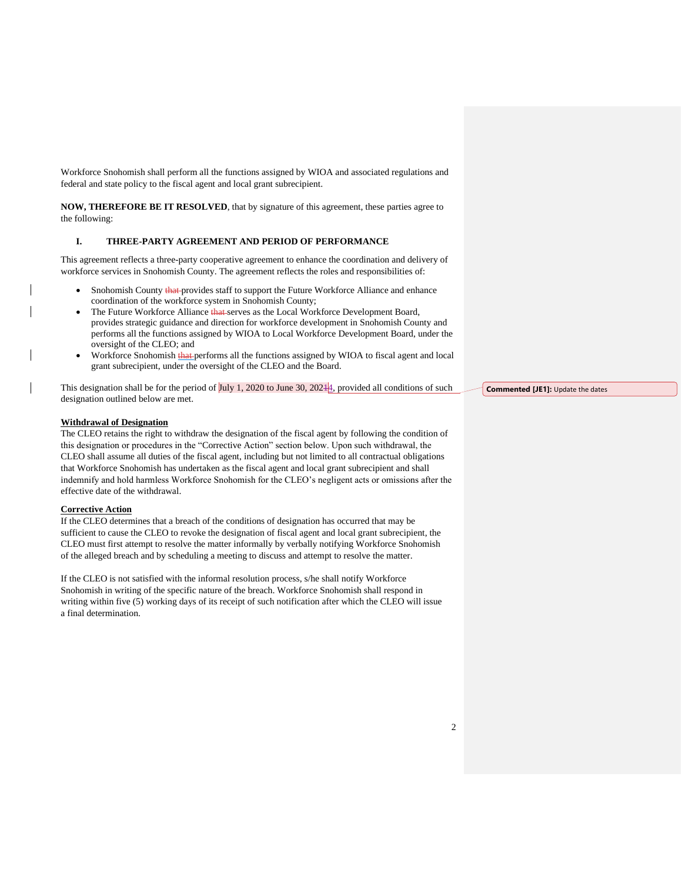Workforce Snohomish shall perform all the functions assigned by WIOA and associated regulations and federal and state policy to the fiscal agent and local grant subrecipient.

**NOW, THEREFORE BE IT RESOLVED**, that by signature of this agreement, these parties agree to the following:

## **I. THREE-PARTY AGREEMENT AND PERIOD OF PERFORMANCE**

This agreement reflects a three-party cooperative agreement to enhance the coordination and delivery of workforce services in Snohomish County. The agreement reflects the roles and responsibilities of:

- Snohomish County that provides staff to support the Future Workforce Alliance and enhance coordination of the workforce system in Snohomish County;
- The Future Workforce Alliance that serves as the Local Workforce Development Board, provides strategic guidance and direction for workforce development in Snohomish County and performs all the functions assigned by WIOA to Local Workforce Development Board, under the oversight of the CLEO; and
- Workforce Snohomish that performs all the functions assigned by WIOA to fiscal agent and local grant subrecipient, under the oversight of the CLEO and the Board.

This designation shall be for the period of  $\text{July } 1, 2020$  to June 30, 202 $\text{#4}$ , provided all conditions of such designation outlined below are met.

## **Withdrawal of Designation**

The CLEO retains the right to withdraw the designation of the fiscal agent by following the condition of this designation or procedures in the "Corrective Action" section below. Upon such withdrawal, the CLEO shall assume all duties of the fiscal agent, including but not limited to all contractual obligations that Workforce Snohomish has undertaken as the fiscal agent and local grant subrecipient and shall indemnify and hold harmless Workforce Snohomish for the CLEO's negligent acts or omissions after the effective date of the withdrawal.

## **Corrective Action**

If the CLEO determines that a breach of the conditions of designation has occurred that may be sufficient to cause the CLEO to revoke the designation of fiscal agent and local grant subrecipient, the CLEO must first attempt to resolve the matter informally by verbally notifying Workforce Snohomish of the alleged breach and by scheduling a meeting to discuss and attempt to resolve the matter.

If the CLEO is not satisfied with the informal resolution process, s/he shall notify Workforce Snohomish in writing of the specific nature of the breach. Workforce Snohomish shall respond in writing within five (5) working days of its receipt of such notification after which the CLEO will issue a final determination.

**Commented [JE1]:** Update the dates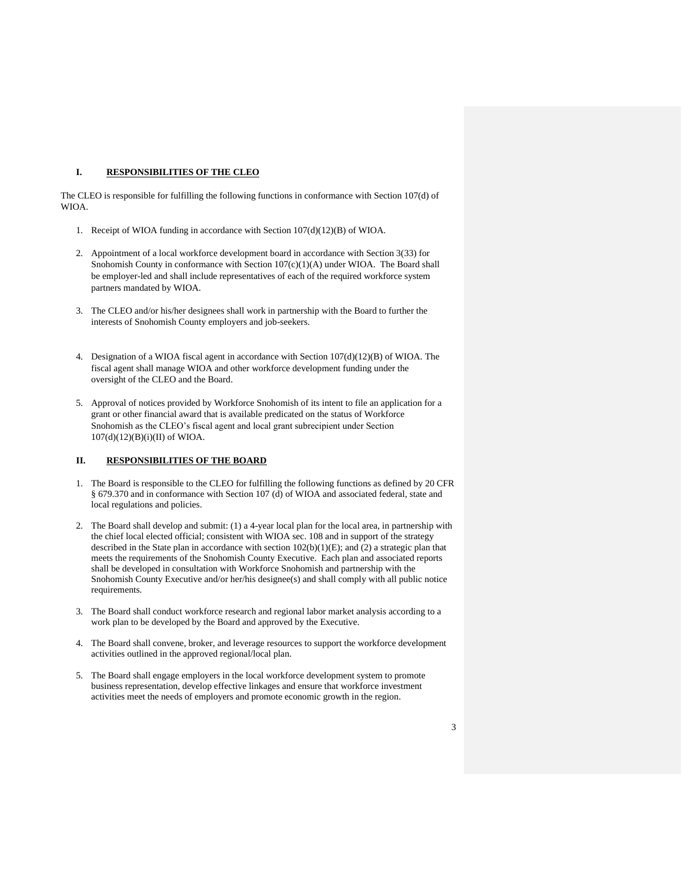# **I. RESPONSIBILITIES OF THE CLEO**

The CLEO is responsible for fulfilling the following functions in conformance with Section 107(d) of WIOA.

- 1. Receipt of WIOA funding in accordance with Section 107(d)(12)(B) of WIOA.
- 2. Appointment of a local workforce development board in accordance with Section 3(33) for Snohomish County in conformance with Section  $107(c)(1)(A)$  under WIOA. The Board shall be employer-led and shall include representatives of each of the required workforce system partners mandated by WIOA.
- 3. The CLEO and/or his/her designees shall work in partnership with the Board to further the interests of Snohomish County employers and job-seekers.
- 4. Designation of a WIOA fiscal agent in accordance with Section 107(d)(12)(B) of WIOA. The fiscal agent shall manage WIOA and other workforce development funding under the oversight of the CLEO and the Board.
- 5. Approval of notices provided by Workforce Snohomish of its intent to file an application for a grant or other financial award that is available predicated on the status of Workforce Snohomish as the CLEO's fiscal agent and local grant subrecipient under Section  $107(d)(12)(B)(i)(II)$  of WIOA.

## **II. RESPONSIBILITIES OF THE BOARD**

- 1. The Board is responsible to the CLEO for fulfilling the following functions as defined by 20 CFR § 679.370 and in conformance with Section 107 (d) of WIOA and associated federal, state and local regulations and policies.
- 2. The Board shall develop and submit: (1) a 4-year local plan for the local area, in partnership with the chief local elected official; consistent with WIOA sec. 108 and in support of the strategy described in the State plan in accordance with section 102(b)(1)(E); and (2) a strategic plan that meets the requirements of the Snohomish County Executive. Each plan and associated reports shall be developed in consultation with Workforce Snohomish and partnership with the Snohomish County Executive and/or her/his designee(s) and shall comply with all public notice requirements.
- 3. The Board shall conduct workforce research and regional labor market analysis according to a work plan to be developed by the Board and approved by the Executive.
- 4. The Board shall convene, broker, and leverage resources to support the workforce development activities outlined in the approved regional/local plan.
- 5. The Board shall engage employers in the local workforce development system to promote business representation, develop effective linkages and ensure that workforce investment activities meet the needs of employers and promote economic growth in the region.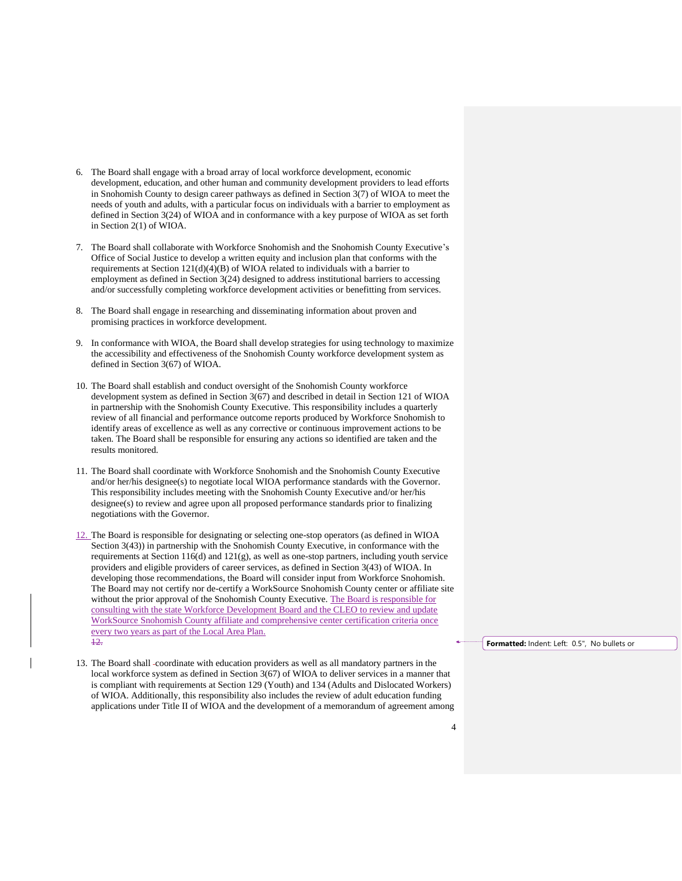- 6. The Board shall engage with a broad array of local workforce development, economic development, education, and other human and community development providers to lead efforts in Snohomish County to design career pathways as defined in Section 3(7) of WIOA to meet the needs of youth and adults, with a particular focus on individuals with a barrier to employment as defined in Section 3(24) of WIOA and in conformance with a key purpose of WIOA as set forth in Section 2(1) of WIOA.
- 7. The Board shall collaborate with Workforce Snohomish and the Snohomish County Executive's Office of Social Justice to develop a written equity and inclusion plan that conforms with the requirements at Section 121(d)(4)(B) of WIOA related to individuals with a barrier to employment as defined in Section 3(24) designed to address institutional barriers to accessing and/or successfully completing workforce development activities or benefitting from services.
- 8. The Board shall engage in researching and disseminating information about proven and promising practices in workforce development.
- 9. In conformance with WIOA, the Board shall develop strategies for using technology to maximize the accessibility and effectiveness of the Snohomish County workforce development system as defined in Section 3(67) of WIOA.
- 10. The Board shall establish and conduct oversight of the Snohomish County workforce development system as defined in Section 3(67) and described in detail in Section 121 of WIOA in partnership with the Snohomish County Executive. This responsibility includes a quarterly review of all financial and performance outcome reports produced by Workforce Snohomish to identify areas of excellence as well as any corrective or continuous improvement actions to be taken. The Board shall be responsible for ensuring any actions so identified are taken and the results monitored.
- 11. The Board shall coordinate with Workforce Snohomish and the Snohomish County Executive and/or her/his designee(s) to negotiate local WIOA performance standards with the Governor. This responsibility includes meeting with the Snohomish County Executive and/or her/his designee(s) to review and agree upon all proposed performance standards prior to finalizing negotiations with the Governor.
- 12. The Board is responsible for designating or selecting one-stop operators (as defined in WIOA Section 3(43)) in partnership with the Snohomish County Executive, in conformance with the requirements at Section 116(d) and 121(g), as well as one-stop partners, including youth service providers and eligible providers of career services, as defined in Section 3(43) of WIOA. In developing those recommendations, the Board will consider input from Workforce Snohomish. The Board may not certify nor de-certify a WorkSource Snohomish County center or affiliate site without the prior approval of the Snohomish County Executive. The Board is responsible for consulting with the state Workforce Development Board and the CLEO to review and update WorkSource Snohomish County affiliate and comprehensive center certification criteria once every two years as part of the Local Area Plan. 12.
- 13. The Board shall coordinate with education providers as well as all mandatory partners in the local workforce system as defined in Section 3(67) of WIOA to deliver services in a manner that is compliant with requirements at Section 129 (Youth) and 134 (Adults and Dislocated Workers) of WIOA. Additionally, this responsibility also includes the review of adult education funding applications under Title II of WIOA and the development of a memorandum of agreement among

**Formatted:** Indent: Left: 0.5", No bullets or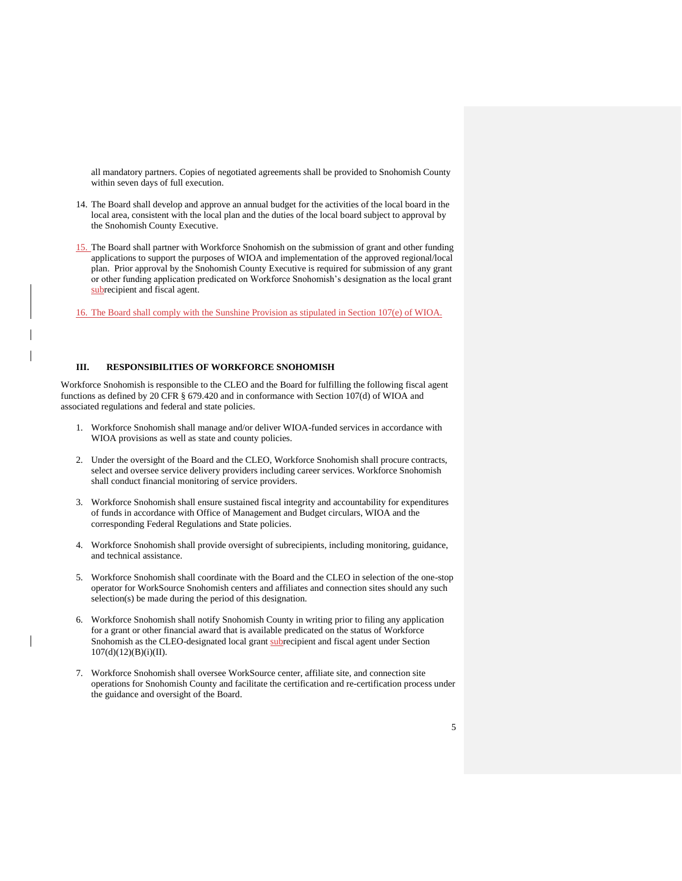all mandatory partners. Copies of negotiated agreements shall be provided to Snohomish County within seven days of full execution.

- 14. The Board shall develop and approve an annual budget for the activities of the local board in the local area, consistent with the local plan and the duties of the local board subject to approval by the Snohomish County Executive.
- 15. The Board shall partner with Workforce Snohomish on the submission of grant and other funding applications to support the purposes of WIOA and implementation of the approved regional/local plan. Prior approval by the Snohomish County Executive is required for submission of any grant or other funding application predicated on Workforce Snohomish's designation as the local grant subrecipient and fiscal agent.

16. The Board shall comply with the Sunshine Provision as stipulated in Section 107(e) of WIOA.

## **III. RESPONSIBILITIES OF WORKFORCE SNOHOMISH**

Workforce Snohomish is responsible to the CLEO and the Board for fulfilling the following fiscal agent functions as defined by 20 CFR § 679.420 and in conformance with Section 107(d) of WIOA and associated regulations and federal and state policies.

- 1. Workforce Snohomish shall manage and/or deliver WIOA-funded services in accordance with WIOA provisions as well as state and county policies.
- 2. Under the oversight of the Board and the CLEO, Workforce Snohomish shall procure contracts, select and oversee service delivery providers including career services. Workforce Snohomish shall conduct financial monitoring of service providers.
- 3. Workforce Snohomish shall ensure sustained fiscal integrity and accountability for expenditures of funds in accordance with Office of Management and Budget circulars, WIOA and the corresponding Federal Regulations and State policies.
- 4. Workforce Snohomish shall provide oversight of subrecipients, including monitoring, guidance, and technical assistance.
- 5. Workforce Snohomish shall coordinate with the Board and the CLEO in selection of the one-stop operator for WorkSource Snohomish centers and affiliates and connection sites should any such selection(s) be made during the period of this designation.
- 6. Workforce Snohomish shall notify Snohomish County in writing prior to filing any application for a grant or other financial award that is available predicated on the status of Workforce Snohomish as the CLEO-designated local grant subrecipient and fiscal agent under Section  $107(d)(12)(B)(i)(II).$
- 7. Workforce Snohomish shall oversee WorkSource center, affiliate site, and connection site operations for Snohomish County and facilitate the certification and re-certification process under the guidance and oversight of the Board.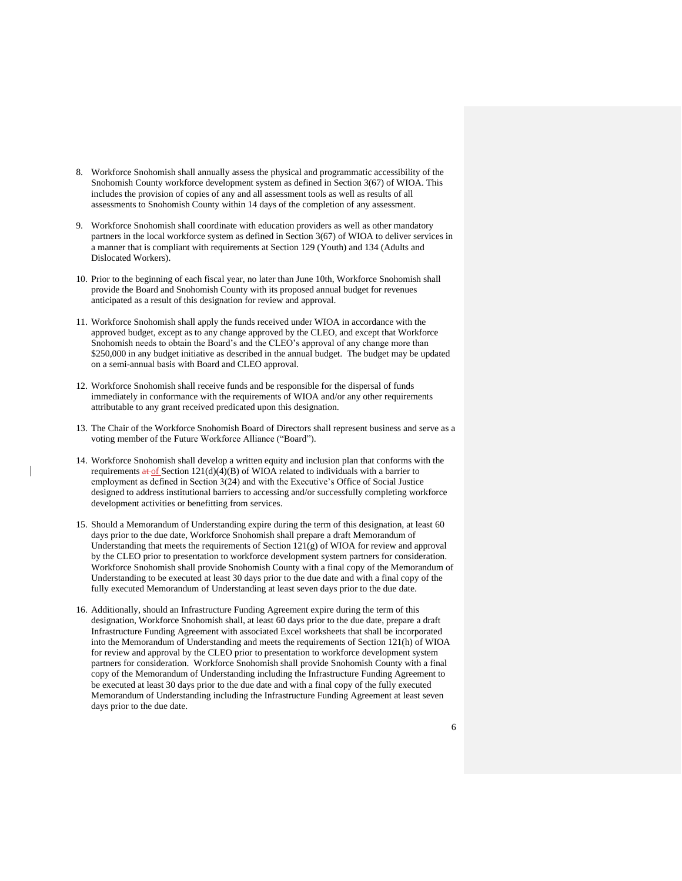- 8. Workforce Snohomish shall annually assess the physical and programmatic accessibility of the Snohomish County workforce development system as defined in Section 3(67) of WIOA. This includes the provision of copies of any and all assessment tools as well as results of all assessments to Snohomish County within 14 days of the completion of any assessment.
- 9. Workforce Snohomish shall coordinate with education providers as well as other mandatory partners in the local workforce system as defined in Section 3(67) of WIOA to deliver services in a manner that is compliant with requirements at Section 129 (Youth) and 134 (Adults and Dislocated Workers).
- 10. Prior to the beginning of each fiscal year, no later than June 10th, Workforce Snohomish shall provide the Board and Snohomish County with its proposed annual budget for revenues anticipated as a result of this designation for review and approval.
- 11. Workforce Snohomish shall apply the funds received under WIOA in accordance with the approved budget, except as to any change approved by the CLEO, and except that Workforce Snohomish needs to obtain the Board's and the CLEO's approval of any change more than \$250,000 in any budget initiative as described in the annual budget. The budget may be updated on a semi-annual basis with Board and CLEO approval.
- 12. Workforce Snohomish shall receive funds and be responsible for the dispersal of funds immediately in conformance with the requirements of WIOA and/or any other requirements attributable to any grant received predicated upon this designation.
- 13. The Chair of the Workforce Snohomish Board of Directors shall represent business and serve as a voting member of the Future Workforce Alliance ("Board").
- 14. Workforce Snohomish shall develop a written equity and inclusion plan that conforms with the requirements  $a \leftarrow of$  Section 121(d)(4)(B) of WIOA related to individuals with a barrier to employment as defined in Section 3(24) and with the Executive's Office of Social Justice designed to address institutional barriers to accessing and/or successfully completing workforce development activities or benefitting from services.
- 15. Should a Memorandum of Understanding expire during the term of this designation, at least 60 days prior to the due date, Workforce Snohomish shall prepare a draft Memorandum of Understanding that meets the requirements of Section  $121(g)$  of WIOA for review and approval by the CLEO prior to presentation to workforce development system partners for consideration. Workforce Snohomish shall provide Snohomish County with a final copy of the Memorandum of Understanding to be executed at least 30 days prior to the due date and with a final copy of the fully executed Memorandum of Understanding at least seven days prior to the due date.
- 16. Additionally, should an Infrastructure Funding Agreement expire during the term of this designation, Workforce Snohomish shall, at least 60 days prior to the due date, prepare a draft Infrastructure Funding Agreement with associated Excel worksheets that shall be incorporated into the Memorandum of Understanding and meets the requirements of Section 121(h) of WIOA for review and approval by the CLEO prior to presentation to workforce development system partners for consideration. Workforce Snohomish shall provide Snohomish County with a final copy of the Memorandum of Understanding including the Infrastructure Funding Agreement to be executed at least 30 days prior to the due date and with a final copy of the fully executed Memorandum of Understanding including the Infrastructure Funding Agreement at least seven days prior to the due date.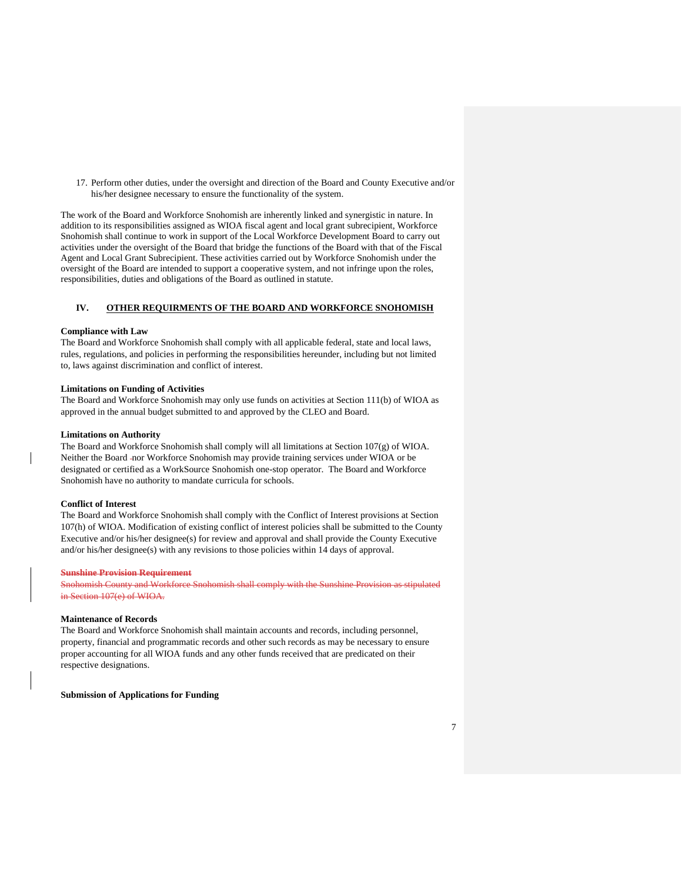17. Perform other duties, under the oversight and direction of the Board and County Executive and/or his/her designee necessary to ensure the functionality of the system.

The work of the Board and Workforce Snohomish are inherently linked and synergistic in nature. In addition to its responsibilities assigned as WIOA fiscal agent and local grant subrecipient, Workforce Snohomish shall continue to work in support of the Local Workforce Development Board to carry out activities under the oversight of the Board that bridge the functions of the Board with that of the Fiscal Agent and Local Grant Subrecipient. These activities carried out by Workforce Snohomish under the oversight of the Board are intended to support a cooperative system, and not infringe upon the roles, responsibilities, duties and obligations of the Board as outlined in statute.

## **IV. OTHER REQUIRMENTS OF THE BOARD AND WORKFORCE SNOHOMISH**

### **Compliance with Law**

The Board and Workforce Snohomish shall comply with all applicable federal, state and local laws, rules, regulations, and policies in performing the responsibilities hereunder, including but not limited to, laws against discrimination and conflict of interest.

#### **Limitations on Funding of Activities**

The Board and Workforce Snohomish may only use funds on activities at Section 111(b) of WIOA as approved in the annual budget submitted to and approved by the CLEO and Board.

#### **Limitations on Authority**

The Board and Workforce Snohomish shall comply will all limitations at Section 107(g) of WIOA. Neither the Board nor Workforce Snohomish may provide training services under WIOA or be designated or certified as a WorkSource Snohomish one-stop operator. The Board and Workforce Snohomish have no authority to mandate curricula for schools.

#### **Conflict of Interest**

The Board and Workforce Snohomish shall comply with the Conflict of Interest provisions at Section 107(h) of WIOA. Modification of existing conflict of interest policies shall be submitted to the County Executive and/or his/her designee(s) for review and approval and shall provide the County Executive and/or his/her designee(s) with any revisions to those policies within 14 days of approval.

#### **Sunshine Provision Requirement**

Snohomish County and Workforce Snohomish shall comply with the Sunshine Provision as stipulated in Section 107(e) of WIOA.

### **Maintenance of Records**

The Board and Workforce Snohomish shall maintain accounts and records, including personnel, property, financial and programmatic records and other such records as may be necessary to ensure proper accounting for all WIOA funds and any other funds received that are predicated on their respective designations.

**Submission of Applications for Funding**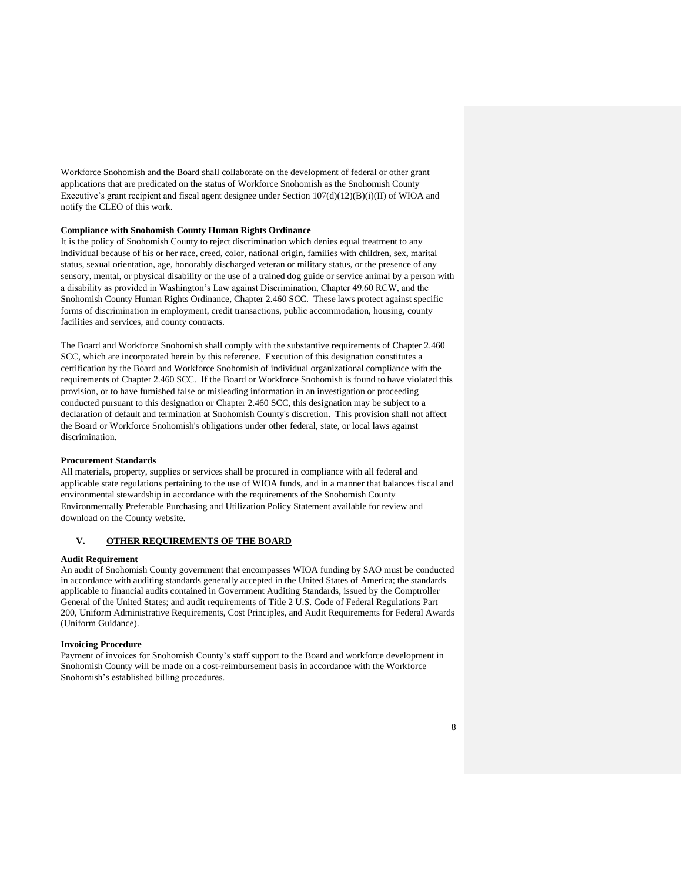Workforce Snohomish and the Board shall collaborate on the development of federal or other grant applications that are predicated on the status of Workforce Snohomish as the Snohomish County Executive's grant recipient and fiscal agent designee under Section 107(d)(12)(B)(i)(II) of WIOA and notify the CLEO of this work.

## **Compliance with Snohomish County Human Rights Ordinance**

It is the policy of Snohomish County to reject discrimination which denies equal treatment to any individual because of his or her race, creed, color, national origin, families with children, sex, marital status, sexual orientation, age, honorably discharged veteran or military status, or the presence of any sensory, mental, or physical disability or the use of a trained dog guide or service animal by a person with a disability as provided in Washington's Law against Discrimination, Chapter 49.60 RCW, and the Snohomish County Human Rights Ordinance, Chapter 2.460 SCC. These laws protect against specific forms of discrimination in employment, credit transactions, public accommodation, housing, county facilities and services, and county contracts.

The Board and Workforce Snohomish shall comply with the substantive requirements of Chapter 2.460 SCC, which are incorporated herein by this reference. Execution of this designation constitutes a certification by the Board and Workforce Snohomish of individual organizational compliance with the requirements of Chapter 2.460 SCC. If the Board or Workforce Snohomish is found to have violated this provision, or to have furnished false or misleading information in an investigation or proceeding conducted pursuant to this designation or Chapter 2.460 SCC, this designation may be subject to a declaration of default and termination at Snohomish County's discretion. This provision shall not affect the Board or Workforce Snohomish's obligations under other federal, state, or local laws against discrimination.

## **Procurement Standards**

All materials, property, supplies or services shall be procured in compliance with all federal and applicable state regulations pertaining to the use of WIOA funds, and in a manner that balances fiscal and environmental stewardship in accordance with the requirements of the Snohomish County Environmentally Preferable Purchasing and Utilization Policy Statement available for review and download on [the County website.](http://snohomishcountywa.gov/documentcenter/view/9209)

## **V. OTHER REQUIREMENTS OF THE BOARD**

#### **Audit Requirement**

An audit of Snohomish County government that encompasses WIOA funding by SAO must be conducted in accordance with auditing standards generally accepted in the United States of America; the standards applicable to financial audits contained in Government Auditing Standards, issued by the Comptroller General of the United States; and audit requirements of Title 2 U.S. Code of Federal Regulations Part 200, Uniform Administrative Requirements, Cost Principles, and Audit Requirements for Federal Awards (Uniform Guidance).

### **Invoicing Procedure**

Payment of invoices for Snohomish County's staff support to the Board and workforce development in Snohomish County will be made on a cost-reimbursement basis in accordance with the Workforce Snohomish's established billing procedures.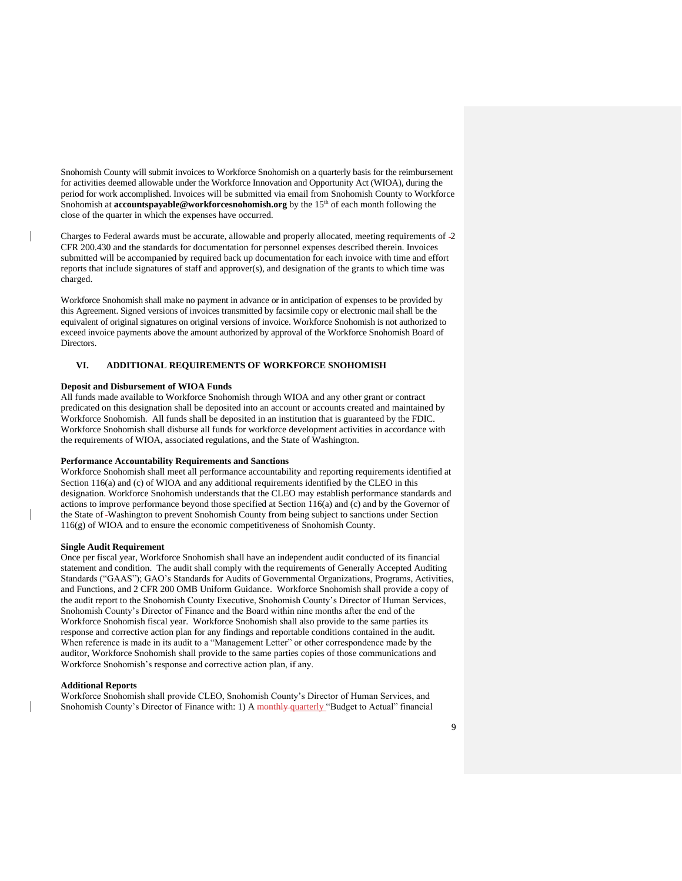Snohomish County will submit invoices to Workforce Snohomish on a quarterly basis for the reimbursement for activities deemed allowable under the Workforce Innovation and Opportunity Act (WIOA), during the period for work accomplished. Invoices will be submitted via email from Snohomish County to Workforce Snohomish at **accountspayable@workforcesnohomish.org** by the 15<sup>th</sup> of each month following the close of the quarter in which the expenses have occurred.

Charges to Federal awards must be accurate, allowable and properly allocated, meeting requirements of 2 CFR 200.430 and the standards for documentation for personnel expenses described therein. Invoices submitted will be accompanied by required back up documentation for each invoice with time and effort reports that include signatures of staff and approver(s), and designation of the grants to which time was charged.

Workforce Snohomish shall make no payment in advance or in anticipation of expenses to be provided by this Agreement. Signed versions of invoices transmitted by facsimile copy or electronic mail shall be the equivalent of original signatures on original versions of invoice. Workforce Snohomish is not authorized to exceed invoice payments above the amount authorized by approval of the Workforce Snohomish Board of Directors.

## **VI. ADDITIONAL REQUIREMENTS OF WORKFORCE SNOHOMISH**

### **Deposit and Disbursement of WIOA Funds**

All funds made available to Workforce Snohomish through WIOA and any other grant or contract predicated on this designation shall be deposited into an account or accounts created and maintained by Workforce Snohomish. All funds shall be deposited in an institution that is guaranteed by the FDIC. Workforce Snohomish shall disburse all funds for workforce development activities in accordance with the requirements of WIOA, associated regulations, and the State of Washington.

#### **Performance Accountability Requirements and Sanctions**

Workforce Snohomish shall meet all performance accountability and reporting requirements identified at Section 116(a) and (c) of WIOA and any additional requirements identified by the CLEO in this designation. Workforce Snohomish understands that the CLEO may establish performance standards and actions to improve performance beyond those specified at Section 116(a) and (c) and by the Governor of the State of Washington to prevent Snohomish County from being subject to sanctions under Section 116(g) of WIOA and to ensure the economic competitiveness of Snohomish County.

#### **Single Audit Requirement**

Once per fiscal year, Workforce Snohomish shall have an independent audit conducted of its financial statement and condition. The audit shall comply with the requirements of Generally Accepted Auditing Standards ("GAAS"); GAO's Standards for Audits of Governmental Organizations, Programs, Activities, and Functions, and 2 CFR 200 OMB Uniform Guidance. Workforce Snohomish shall provide a copy of the audit report to the Snohomish County Executive, Snohomish County's Director of Human Services, Snohomish County's Director of Finance and the Board within nine months after the end of the Workforce Snohomish fiscal year. Workforce Snohomish shall also provide to the same parties its response and corrective action plan for any findings and reportable conditions contained in the audit. When reference is made in its audit to a "Management Letter" or other correspondence made by the auditor, Workforce Snohomish shall provide to the same parties copies of those communications and Workforce Snohomish's response and corrective action plan, if any.

## **Additional Reports**

Workforce Snohomish shall provide CLEO, Snohomish County's Director of Human Services, and Snohomish County's Director of Finance with: 1) A monthly-quarterly "Budget to Actual" financial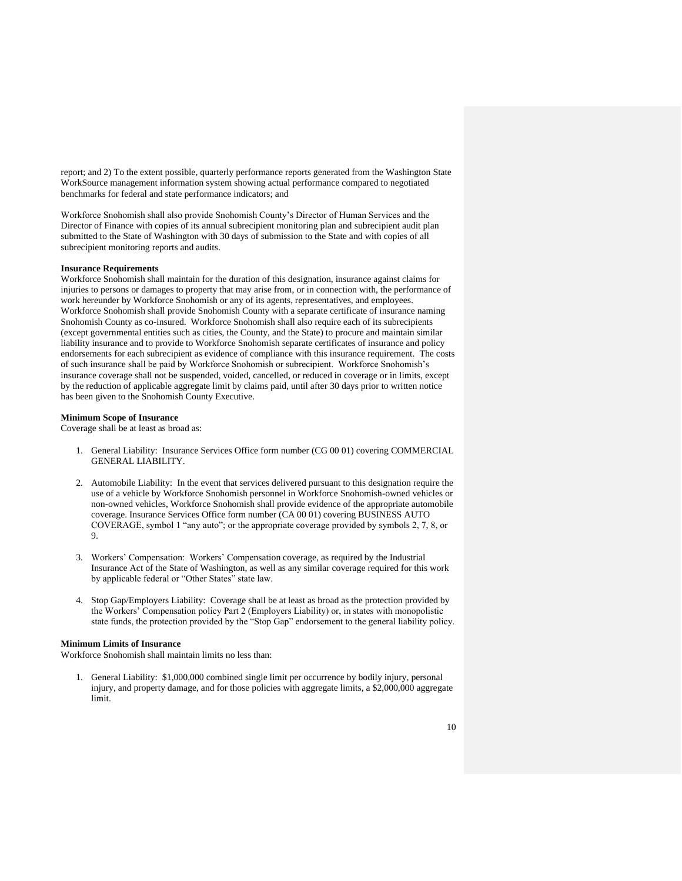report; and 2) To the extent possible, quarterly performance reports generated from the Washington State WorkSource management information system showing actual performance compared to negotiated benchmarks for federal and state performance indicators; and

Workforce Snohomish shall also provide Snohomish County's Director of Human Services and the Director of Finance with copies of its annual subrecipient monitoring plan and subrecipient audit plan submitted to the State of Washington with 30 days of submission to the State and with copies of all subrecipient monitoring reports and audits.

## **Insurance Requirements**

Workforce Snohomish shall maintain for the duration of this designation, insurance against claims for injuries to persons or damages to property that may arise from, or in connection with, the performance of work hereunder by Workforce Snohomish or any of its agents, representatives, and employees. Workforce Snohomish shall provide Snohomish County with a separate certificate of insurance naming Snohomish County as co-insured. Workforce Snohomish shall also require each of its subrecipients (except governmental entities such as cities, the County, and the State) to procure and maintain similar liability insurance and to provide to Workforce Snohomish separate certificates of insurance and policy endorsements for each subrecipient as evidence of compliance with this insurance requirement. The costs of such insurance shall be paid by Workforce Snohomish or subrecipient. Workforce Snohomish's insurance coverage shall not be suspended, voided, cancelled, or reduced in coverage or in limits, except by the reduction of applicable aggregate limit by claims paid, until after 30 days prior to written notice has been given to the Snohomish County Executive.

### **Minimum Scope of Insurance**

Coverage shall be at least as broad as:

- 1. General Liability: Insurance Services Office form number (CG 00 01) covering COMMERCIAL GENERAL LIABILITY.
- 2. Automobile Liability: In the event that services delivered pursuant to this designation require the use of a vehicle by Workforce Snohomish personnel in Workforce Snohomish-owned vehicles or non-owned vehicles, Workforce Snohomish shall provide evidence of the appropriate automobile coverage. Insurance Services Office form number (CA 00 01) covering BUSINESS AUTO COVERAGE, symbol 1 "any auto"; or the appropriate coverage provided by symbols 2, 7, 8, or 9.
- 3. Workers' Compensation: Workers' Compensation coverage, as required by the Industrial Insurance Act of the State of Washington, as well as any similar coverage required for this work by applicable federal or "Other States" state law.
- 4. Stop Gap/Employers Liability: Coverage shall be at least as broad as the protection provided by the Workers' Compensation policy Part 2 (Employers Liability) or, in states with monopolistic state funds, the protection provided by the "Stop Gap" endorsement to the general liability policy.

### **Minimum Limits of Insurance**

Workforce Snohomish shall maintain limits no less than:

1. General Liability: \$1,000,000 combined single limit per occurrence by bodily injury, personal injury, and property damage, and for those policies with aggregate limits, a \$2,000,000 aggregate limit.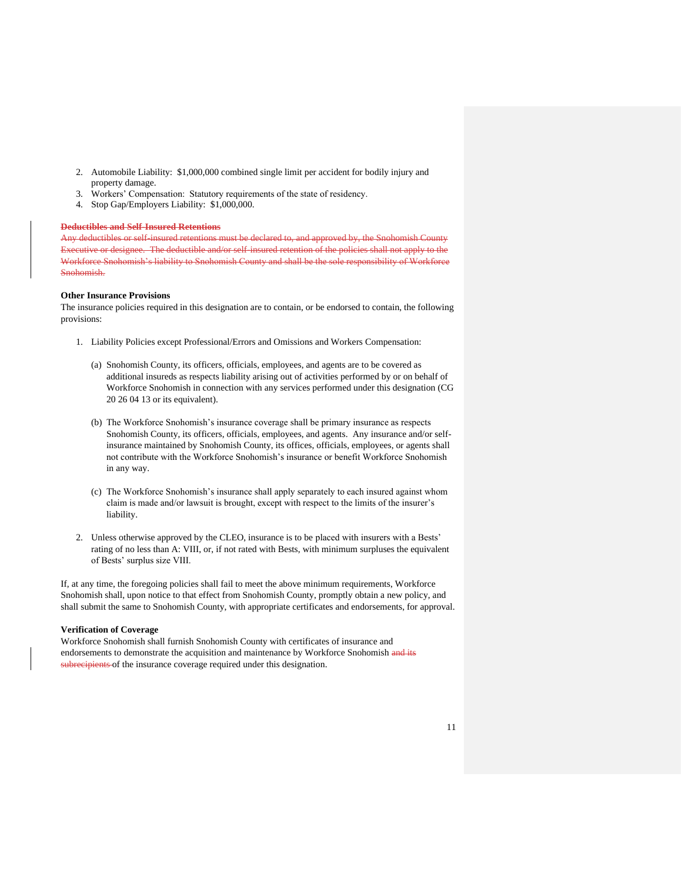- 2. Automobile Liability: \$1,000,000 combined single limit per accident for bodily injury and property damage.
- 3. Workers' Compensation: Statutory requirements of the state of residency.
- 4. Stop Gap/Employers Liability: \$1,000,000.

## **Deductibles and Self-Insured Retentions**

Any deductibles or self-insured retentions must be declared to, and approved by, the Snohomish County Executive or designee. The deductible and/or self-insured retention of the policies shall not apply to the Workforce Snohomish's liability to Snohomish County and shall be the sole responsibility of Workforce Snohomish.

#### **Other Insurance Provisions**

The insurance policies required in this designation are to contain, or be endorsed to contain, the following provisions:

- 1. Liability Policies except Professional/Errors and Omissions and Workers Compensation:
	- (a) Snohomish County, its officers, officials, employees, and agents are to be covered as additional insureds as respects liability arising out of activities performed by or on behalf of Workforce Snohomish in connection with any services performed under this designation (CG 20 26 04 13 or its equivalent).
	- (b) The Workforce Snohomish's insurance coverage shall be primary insurance as respects Snohomish County, its officers, officials, employees, and agents. Any insurance and/or selfinsurance maintained by Snohomish County, its offices, officials, employees, or agents shall not contribute with the Workforce Snohomish's insurance or benefit Workforce Snohomish in any way.
	- (c) The Workforce Snohomish's insurance shall apply separately to each insured against whom claim is made and/or lawsuit is brought, except with respect to the limits of the insurer's liability.
- 2. Unless otherwise approved by the CLEO, insurance is to be placed with insurers with a Bests' rating of no less than A: VIII, or, if not rated with Bests, with minimum surpluses the equivalent of Bests' surplus size VIII.

If, at any time, the foregoing policies shall fail to meet the above minimum requirements, Workforce Snohomish shall, upon notice to that effect from Snohomish County, promptly obtain a new policy, and shall submit the same to Snohomish County, with appropriate certificates and endorsements, for approval.

## **Verification of Coverage**

Workforce Snohomish shall furnish Snohomish County with certificates of insurance and endorsements to demonstrate the acquisition and maintenance by Workforce Snohomish and its subrecipients of the insurance coverage required under this designation.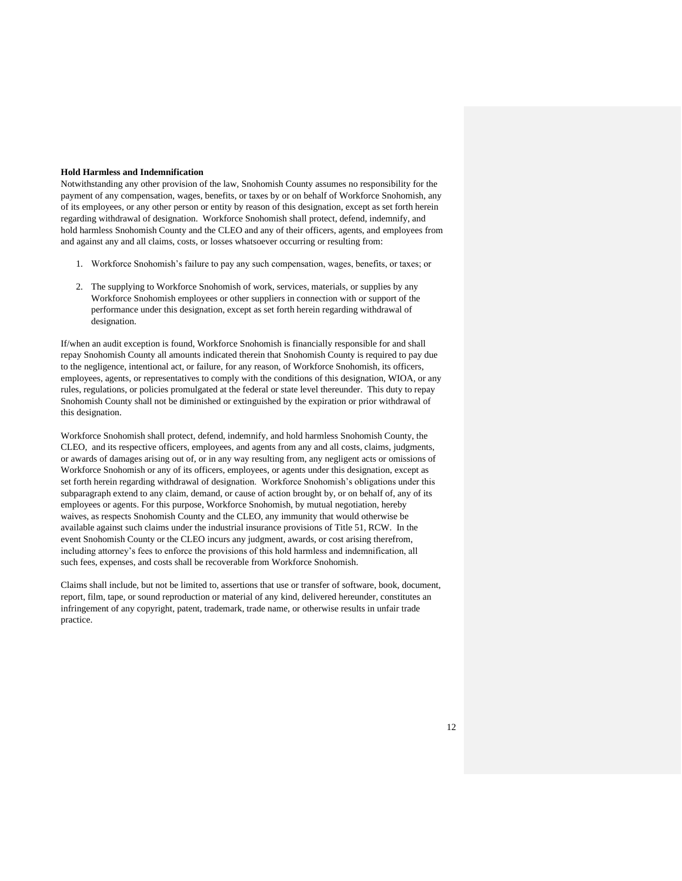### **Hold Harmless and Indemnification**

Notwithstanding any other provision of the law, Snohomish County assumes no responsibility for the payment of any compensation, wages, benefits, or taxes by or on behalf of Workforce Snohomish, any of its employees, or any other person or entity by reason of this designation, except as set forth herein regarding withdrawal of designation. Workforce Snohomish shall protect, defend, indemnify, and hold harmless Snohomish County and the CLEO and any of their officers, agents, and employees from and against any and all claims, costs, or losses whatsoever occurring or resulting from:

- 1. Workforce Snohomish's failure to pay any such compensation, wages, benefits, or taxes; or
- 2. The supplying to Workforce Snohomish of work, services, materials, or supplies by any Workforce Snohomish employees or other suppliers in connection with or support of the performance under this designation, except as set forth herein regarding withdrawal of designation.

If/when an audit exception is found, Workforce Snohomish is financially responsible for and shall repay Snohomish County all amounts indicated therein that Snohomish County is required to pay due to the negligence, intentional act, or failure, for any reason, of Workforce Snohomish, its officers, employees, agents, or representatives to comply with the conditions of this designation, WIOA, or any rules, regulations, or policies promulgated at the federal or state level thereunder. This duty to repay Snohomish County shall not be diminished or extinguished by the expiration or prior withdrawal of this designation.

Workforce Snohomish shall protect, defend, indemnify, and hold harmless Snohomish County, the CLEO, and its respective officers, employees, and agents from any and all costs, claims, judgments, or awards of damages arising out of, or in any way resulting from, any negligent acts or omissions of Workforce Snohomish or any of its officers, employees, or agents under this designation, except as set forth herein regarding withdrawal of designation. Workforce Snohomish's obligations under this subparagraph extend to any claim, demand, or cause of action brought by, or on behalf of, any of its employees or agents. For this purpose, Workforce Snohomish, by mutual negotiation, hereby waives, as respects Snohomish County and the CLEO, any immunity that would otherwise be available against such claims under the industrial insurance provisions of Title 51, RCW. In the event Snohomish County or the CLEO incurs any judgment, awards, or cost arising therefrom, including attorney's fees to enforce the provisions of this hold harmless and indemnification, all such fees, expenses, and costs shall be recoverable from Workforce Snohomish.

Claims shall include, but not be limited to, assertions that use or transfer of software, book, document, report, film, tape, or sound reproduction or material of any kind, delivered hereunder, constitutes an infringement of any copyright, patent, trademark, trade name, or otherwise results in unfair trade practice.